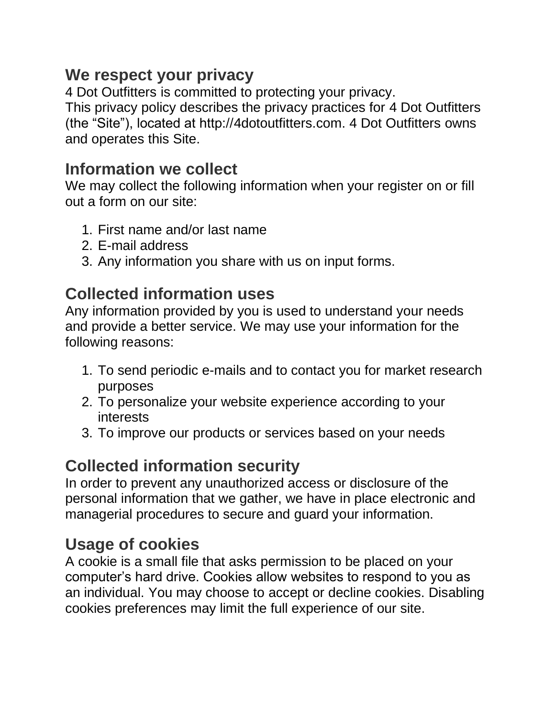#### **We respect your privacy**

4 Dot Outfitters is committed to protecting your privacy. This privacy policy describes the privacy practices for 4 Dot Outfitters (the "Site"), located at http://4dotoutfitters.com. 4 Dot Outfitters owns and operates this Site.

#### **Information we collect**

We may collect the following information when your register on or fill out a form on our site:

- 1. First name and/or last name
- 2. E-mail address
- 3. Any information you share with us on input forms.

# **Collected information uses**

Any information provided by you is used to understand your needs and provide a better service. We may use your information for the following reasons:

- 1. To send periodic e-mails and to contact you for market research purposes
- 2. To personalize your website experience according to your interests
- 3. To improve our products or services based on your needs

# **Collected information security**

In order to prevent any unauthorized access or disclosure of the personal information that we gather, we have in place electronic and managerial procedures to secure and guard your information.

# **Usage of cookies**

A cookie is a small file that asks permission to be placed on your computer's hard drive. Cookies allow websites to respond to you as an individual. You may choose to accept or decline cookies. Disabling cookies preferences may limit the full experience of our site.